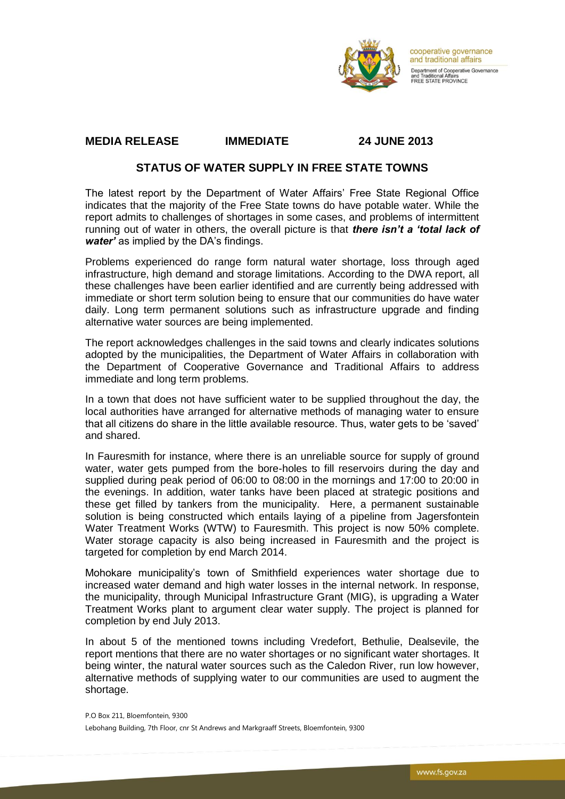

cooperative governance and traditional affairs Department of Cooperative Governance and Traditional Affairs<br>FREE STATE PROVINCE

## **MEDIA RELEASE IMMEDIATE 24 JUNE 2013**

## **STATUS OF WATER SUPPLY IN FREE STATE TOWNS**

The latest report by the Department of Water Affairs' Free State Regional Office indicates that the majority of the Free State towns do have potable water. While the report admits to challenges of shortages in some cases, and problems of intermittent running out of water in others, the overall picture is that *there isn't a 'total lack of water'* as implied by the DA's findings.

Problems experienced do range form natural water shortage, loss through aged infrastructure, high demand and storage limitations. According to the DWA report, all these challenges have been earlier identified and are currently being addressed with immediate or short term solution being to ensure that our communities do have water daily. Long term permanent solutions such as infrastructure upgrade and finding alternative water sources are being implemented.

The report acknowledges challenges in the said towns and clearly indicates solutions adopted by the municipalities, the Department of Water Affairs in collaboration with the Department of Cooperative Governance and Traditional Affairs to address immediate and long term problems.

In a town that does not have sufficient water to be supplied throughout the day, the local authorities have arranged for alternative methods of managing water to ensure that all citizens do share in the little available resource. Thus, water gets to be 'saved' and shared.

In Fauresmith for instance, where there is an unreliable source for supply of ground water, water gets pumped from the bore-holes to fill reservoirs during the day and supplied during peak period of 06:00 to 08:00 in the mornings and 17:00 to 20:00 in the evenings. In addition, water tanks have been placed at strategic positions and these get filled by tankers from the municipality. Here, a permanent sustainable solution is being constructed which entails laying of a pipeline from Jagersfontein Water Treatment Works (WTW) to Fauresmith. This project is now 50% complete. Water storage capacity is also being increased in Fauresmith and the project is targeted for completion by end March 2014.

Mohokare municipality's town of Smithfield experiences water shortage due to increased water demand and high water losses in the internal network. In response, the municipality, through Municipal Infrastructure Grant (MIG), is upgrading a Water Treatment Works plant to argument clear water supply. The project is planned for completion by end July 2013.

In about 5 of the mentioned towns including Vredefort, Bethulie, Dealsevile, the report mentions that there are no water shortages or no significant water shortages. It being winter, the natural water sources such as the Caledon River, run low however, alternative methods of supplying water to our communities are used to augment the shortage.

P.O Box 211, Bloemfontein, 9300 Lebohang Building, 7th Floor, cnr St Andrews and Markgraaff Streets, Bloemfontein, 9300